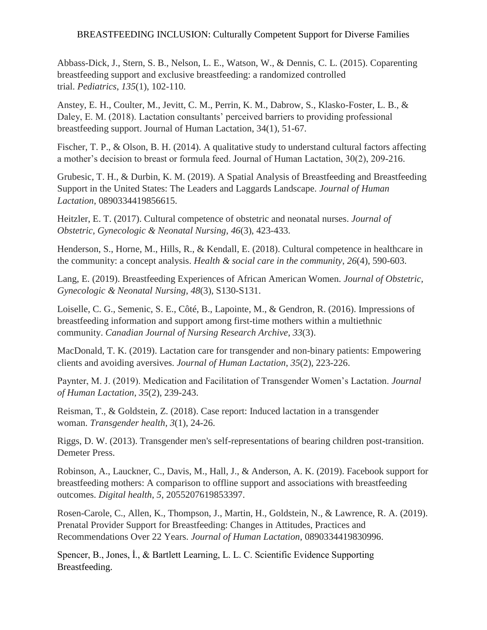Abbass-Dick, J., Stern, S. B., Nelson, L. E., Watson, W., & Dennis, C. L. (2015). Coparenting breastfeeding support and exclusive breastfeeding: a randomized controlled trial. *Pediatrics*, *135*(1), 102-110.

Anstey, E. H., Coulter, M., Jevitt, C. M., Perrin, K. M., Dabrow, S., Klasko-Foster, L. B., & Daley, E. M. (2018). Lactation consultants' perceived barriers to providing professional breastfeeding support. Journal of Human Lactation, 34(1), 51-67.

Fischer, T. P., & Olson, B. H. (2014). A qualitative study to understand cultural factors affecting a mother's decision to breast or formula feed. Journal of Human Lactation, 30(2), 209-216.

Grubesic, T. H., & Durbin, K. M. (2019). A Spatial Analysis of Breastfeeding and Breastfeeding Support in the United States: The Leaders and Laggards Landscape. *Journal of Human Lactation*, 0890334419856615.

Heitzler, E. T. (2017). Cultural competence of obstetric and neonatal nurses. *Journal of Obstetric, Gynecologic & Neonatal Nursing*, *46*(3), 423-433.

Henderson, S., Horne, M., Hills, R., & Kendall, E. (2018). Cultural competence in healthcare in the community: a concept analysis. *Health & social care in the community*, *26*(4), 590-603.

Lang, E. (2019). Breastfeeding Experiences of African American Women. *Journal of Obstetric, Gynecologic & Neonatal Nursing*, *48*(3), S130-S131.

Loiselle, C. G., Semenic, S. E., Côté, B., Lapointe, M., & Gendron, R. (2016). Impressions of breastfeeding information and support among first-time mothers within a multiethnic community. *Canadian Journal of Nursing Research Archive*, *33*(3).

MacDonald, T. K. (2019). Lactation care for transgender and non-binary patients: Empowering clients and avoiding aversives. *Journal of Human Lactation*, *35*(2), 223-226.

Paynter, M. J. (2019). Medication and Facilitation of Transgender Women's Lactation. *Journal of Human Lactation*, *35*(2), 239-243.

Reisman, T., & Goldstein, Z. (2018). Case report: Induced lactation in a transgender woman. *Transgender health*, *3*(1), 24-26.

Riggs, D. W. (2013). Transgender men's self-representations of bearing children post-transition. Demeter Press.

Robinson, A., Lauckner, C., Davis, M., Hall, J., & Anderson, A. K. (2019). Facebook support for breastfeeding mothers: A comparison to offline support and associations with breastfeeding outcomes. *Digital health*, *5*, 2055207619853397.

Rosen-Carole, C., Allen, K., Thompson, J., Martin, H., Goldstein, N., & Lawrence, R. A. (2019). Prenatal Provider Support for Breastfeeding: Changes in Attitudes, Practices and Recommendations Over 22 Years. *Journal of Human Lactation*, 0890334419830996.

Spencer, B., Jones, İ., & Bartlett Learning, L. L. C. Scientific Evidence Supporting Breastfeeding.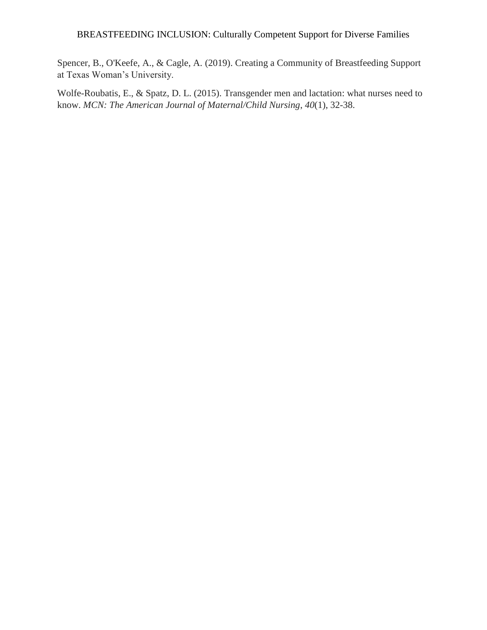Spencer, B., O'Keefe, A., & Cagle, A. (2019). Creating a Community of Breastfeeding Support at Texas Woman's University.

Wolfe-Roubatis, E., & Spatz, D. L. (2015). Transgender men and lactation: what nurses need to know. *MCN: The American Journal of Maternal/Child Nursing*, *40*(1), 32-38.